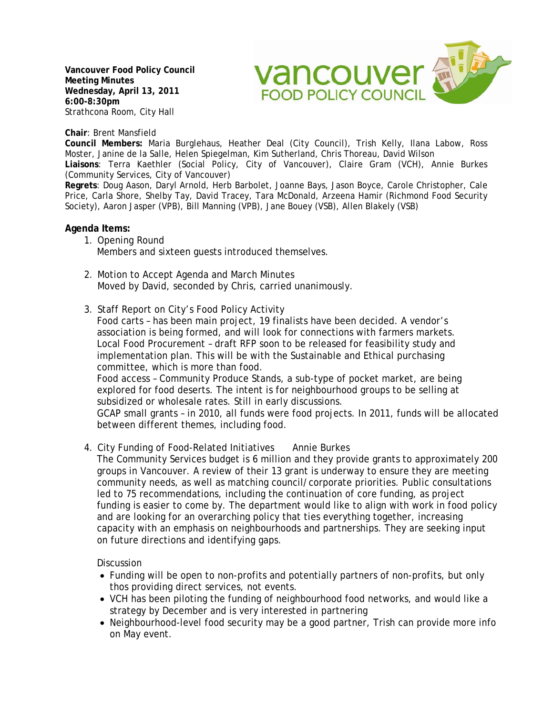**Vancouver Food Policy Council Meeting Minutes Wednesday, April 13, 2011 6:00-8:30pm**  Strathcona Room, City Hall



**Chair**: Brent Mansfield

**Council Members:** Maria Burglehaus, Heather Deal (City Council), Trish Kelly, Ilana Labow, Ross Moster, Janine de la Salle, Helen Spiegelman, Kim Sutherland, Chris Thoreau, David Wilson

**Liaisons**: Terra Kaethler (Social Policy, City of Vancouver), Claire Gram (VCH), Annie Burkes (Community Services, City of Vancouver)

**Regrets**: Doug Aason, Daryl Arnold, Herb Barbolet, Joanne Bays, Jason Boyce, Carole Christopher, Cale Price, Carla Shore, Shelby Tay, David Tracey, Tara McDonald, Arzeena Hamir (Richmond Food Security Society), Aaron Jasper (VPB), Bill Manning (VPB), Jane Bouey (VSB), Allen Blakely (VSB)

## **Agenda Items:**

- 1. Opening Round Members and sixteen guests introduced themselves.
- 2. Motion to Accept Agenda and March Minutes Moved by David, seconded by Chris, carried unanimously.
- 3. Staff Report on City's Food Policy Activity

Food carts – has been main project, 19 finalists have been decided. A vendor's association is being formed, and will look for connections with farmers markets. Local Food Procurement – draft RFP soon to be released for feasibility study and implementation plan. This will be with the Sustainable and Ethical purchasing committee, which is more than food.

Food access – Community Produce Stands, a sub-type of pocket market, are being explored for food deserts. The intent is for neighbourhood groups to be selling at subsidized or wholesale rates. Still in early discussions.

GCAP small grants – in 2010, all funds were food projects. In 2011, funds will be allocated between different themes, including food.

4. City Funding of Food-Related Initiatives Annie Burkes

The Community Services budget is 6 million and they provide grants to approximately 200 groups in Vancouver. A review of their 13 grant is underway to ensure they are meeting community needs, as well as matching council/corporate priorities. Public consultations led to 75 recommendations, including the continuation of core funding, as project funding is easier to come by. The department would like to align with work in food policy and are looking for an overarching policy that ties everything together, increasing capacity with an emphasis on neighbourhoods and partnerships. They are seeking input on future directions and identifying gaps.

**Discussion** 

- Funding will be open to non-profits and potentially partners of non-profits, but only thos providing direct services, not events.
- VCH has been piloting the funding of neighbourhood food networks, and would like a strategy by December and is very interested in partnering
- Neighbourhood-level food security may be a good partner, Trish can provide more info on May event.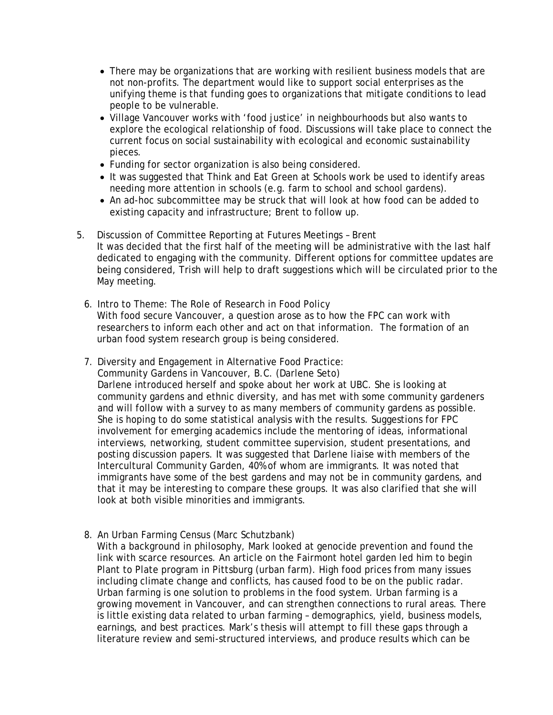- There may be organizations that are working with resilient business models that are not non-profits. The department would like to support social enterprises as the unifying theme is that funding goes to organizations that mitigate conditions to lead people to be vulnerable.
- Village Vancouver works with 'food justice' in neighbourhoods but also wants to explore the ecological relationship of food. Discussions will take place to connect the current focus on social sustainability with ecological and economic sustainability pieces.
- Funding for sector organization is also being considered.
- It was suggested that Think and Eat Green at Schools work be used to identify areas needing more attention in schools (e.g. farm to school and school gardens).
- An ad-hoc subcommittee may be struck that will look at how food can be added to existing capacity and infrastructure; Brent to follow up.
- 5. Discussion of Committee Reporting at Futures Meetings Brent It was decided that the first half of the meeting will be administrative with the last half dedicated to engaging with the community. Different options for committee updates are being considered, Trish will help to draft suggestions which will be circulated prior to the May meeting.
	- 6. Intro to Theme: The Role of Research in Food Policy With food secure Vancouver, a question arose as to how the FPC can work with researchers to inform each other and act on that information. The formation of an urban food system research group is being considered.
	- 7. Diversity and Engagement in Alternative Food Practice: Community Gardens in Vancouver, B.C. (Darlene Seto) Darlene introduced herself and spoke about her work at UBC. She is looking at community gardens and ethnic diversity, and has met with some community gardeners and will follow with a survey to as many members of community gardens as possible. She is hoping to do some statistical analysis with the results. Suggestions for FPC involvement for emerging academics include the mentoring of ideas, informational interviews, networking, student committee supervision, student presentations, and posting discussion papers. It was suggested that Darlene liaise with members of the Intercultural Community Garden, 40% of whom are immigrants. It was noted that immigrants have some of the best gardens and may not be in community gardens, and that it may be interesting to compare these groups. It was also clarified that she will look at both visible minorities and immigrants.
	- 8. An Urban Farming Census (Marc Schutzbank)

With a background in philosophy, Mark looked at genocide prevention and found the link with scarce resources. An article on the Fairmont hotel garden led him to begin Plant to Plate program in Pittsburg (urban farm). High food prices from many issues including climate change and conflicts, has caused food to be on the public radar. Urban farming is one solution to problems in the food system. Urban farming is a growing movement in Vancouver, and can strengthen connections to rural areas. There is little existing data related to urban farming – demographics, yield, business models, earnings, and best practices. Mark's thesis will attempt to fill these gaps through a literature review and semi-structured interviews, and produce results which can be